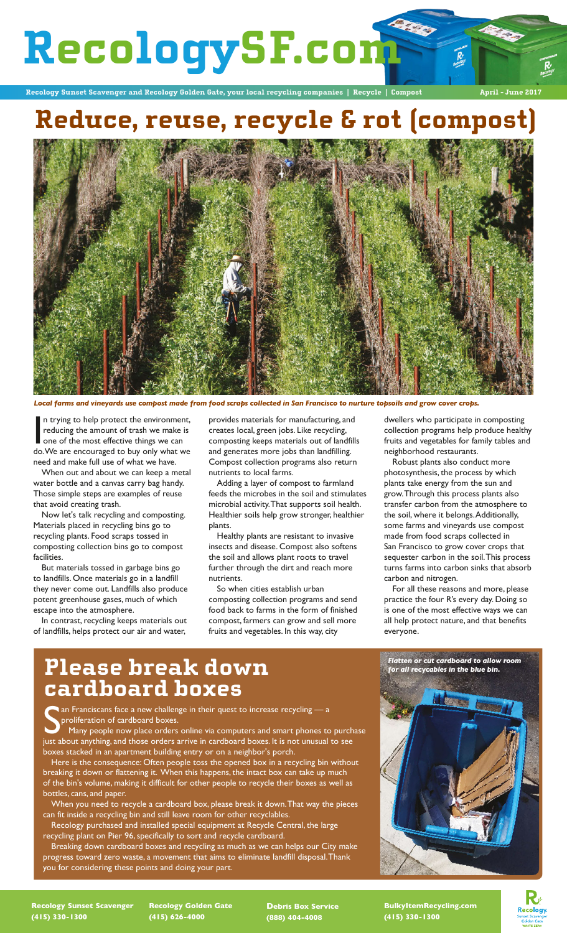# **RecologySF.com**

**Recology Sunset Scavenger and Recology Golden Gate, your local recycling companies | Recycle | Compost April - June 2017**

## **Reduce, reuse, recycle & rot (compost)**



*Local farms and vineyards use compost made from food scraps collected in San Francisco to nurture topsoils and grow cover crops.*

In trying to help protect the environment,<br>reducing the amount of trash we make is<br>one of the most effective things we can<br>do.We are encouraged to buy only what we n trying to help protect the environment, reducing the amount of trash we make is one of the most effective things we can need and make full use of what we have.

When out and about we can keep a metal water bottle and a canvas carry bag handy. Those simple steps are examples of reuse that avoid creating trash.

Now let's talk recycling and composting. Materials placed in recycling bins go to recycling plants. Food scraps tossed in composting collection bins go to compost facilities.

But materials tossed in garbage bins go to landfills. Once materials go in a landfill they never come out. Landfills also produce potent greenhouse gases, much of which escape into the atmosphere.

In contrast, recycling keeps materials out of landfills, helps protect our air and water,

provides materials for manufacturing, and creates local, green jobs. Like recycling, composting keeps materials out of landfills and generates more jobs than landfilling. Compost collection programs also return nutrients to local farms.

Adding a layer of compost to farmland feeds the microbes in the soil and stimulates microbial activity. That supports soil health. Healthier soils help grow stronger, healthier plants.

Healthy plants are resistant to invasive insects and disease. Compost also softens the soil and allows plant roots to travel further through the dirt and reach more nutrients.

So when cities establish urban composting collection programs and send food back to farms in the form of finished compost, farmers can grow and sell more fruits and vegetables. In this way, city

dwellers who participate in composting collection programs help produce healthy fruits and vegetables for family tables and neighborhood restaurants.

Robust plants also conduct more photosynthesis, the process by which plants take energy from the sun and grow. Through this process plants also transfer carbon from the atmosphere to the soil, where it belongs. Additionally, some farms and vineyards use compost made from food scraps collected in San Francisco to grow cover crops that sequester carbon in the soil. This process turns farms into carbon sinks that absorb carbon and nitrogen.

For all these reasons and more, please practice the four R's every day. Doing so is one of the most effective ways we can all help protect nature, and that benefits everyone.

*Flatten or cut cardboard to allow room for all recycables in the blue bin.*

### **Please break down cardboard boxes**

San Franciscans face a new challenge in their quest to increase recycling — a<br>proliferation of cardboard boxes.<br>Just about anything, and those orders arrive in cardboard boxes. It is not unusual to see  $\bullet$  an Franciscans face a new challenge in their quest to increase recycling  $-$  a proliferation of cardboard boxes.

 Many people now place orders online via computers and smart phones to purchase boxes stacked in an apartment building entry or on a neighbor's porch.

Here is the consequence: Often people toss the opened box in a recycling bin without breaking it down or flattening it. When this happens, the intact box can take up much of the bin's volume, making it difficult for other people to recycle their boxes as well as bottles, cans, and paper.

When you need to recycle a cardboard box, please break it down. That way the pieces can fit inside a recycling bin and still leave room for other recyclables.

Recology purchased and installed special equipment at Recycle Central, the large recycling plant on Pier 96, specifically to sort and recycle cardboard.

Breaking down cardboard boxes and recycling as much as we can helps our City make progress toward zero waste, a movement that aims to eliminate landfill disposal. Thank .<br>you for considering these points and doing your part.

**Recology Sunset Scavenger (415) 330-1300**

**Recology Golden Gate (415) 626-4000**

**Debris Box Service (888) 404-4008**

**BulkyItemRecycling.com (415) 330-1300**